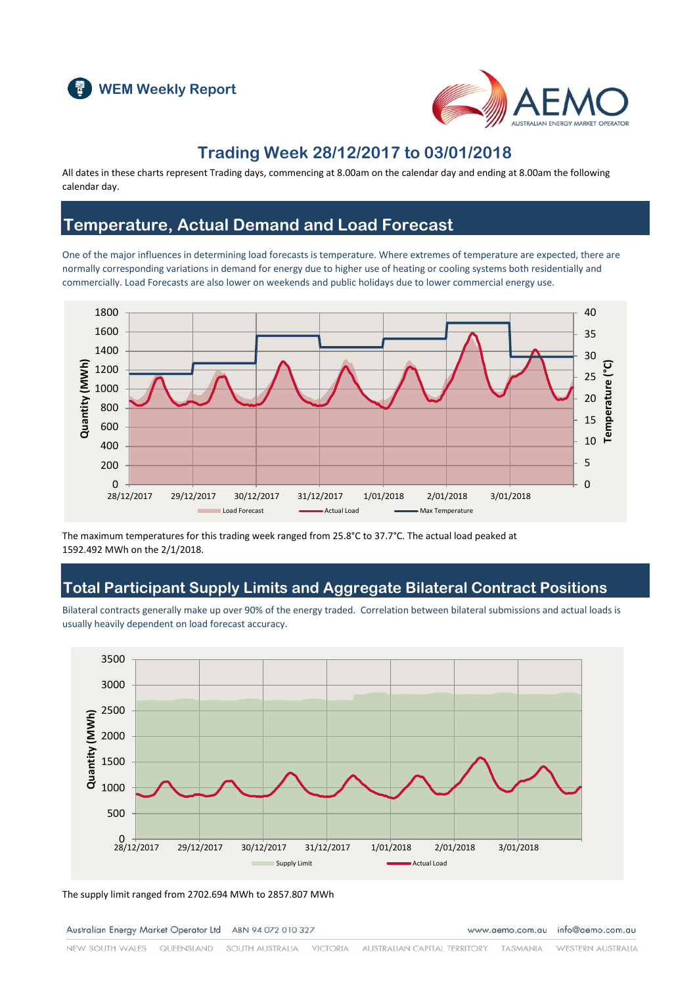



### **Trading Week 28/12/2017 to 03/01/2018**

All dates in these charts represent Trading days, commencing at 8.00am on the calendar day and ending at 8.00am the following calendar day.

### **Temperature, Actual Demand and Load Forecast**

One of the major influences in determining load forecasts is temperature. Where extremes of temperature are expected, there are normally corresponding variations in demand for energy due to higher use of heating or cooling systems both residentially and commercially. Load Forecasts are also lower on weekends and public holidays due to lower commercial energy use.



The maximum temperatures for this trading week ranged from 25.8°C to 37.7°C. The actual load peaked at 1592.492 MWh on the 2/1/2018.

### **Total Participant Supply Limits and Aggregate Bilateral Contract Positions**

Bilateral contracts generally make up over 90% of the energy traded. Correlation between bilateral submissions and actual loads is usually heavily dependent on load forecast accuracy.



The supply limit ranged from 2702.694 MWh to 2857.807 MWh

Australian Energy Market Operator Ltd ABN 94 072 010 327

www.aemo.com.au info@aemo.com.au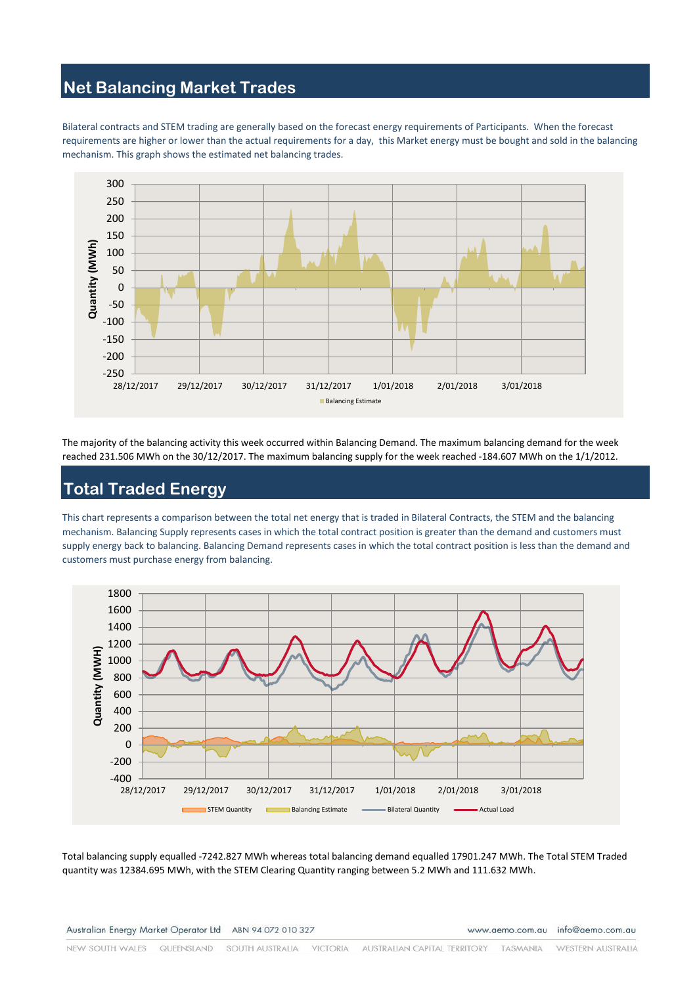#### **Net Balancing Market Trades**

Bilateral contracts and STEM trading are generally based on the forecast energy requirements of Participants. When the forecast requirements are higher or lower than the actual requirements for a day, this Market energy must be bought and sold in the balancing mechanism. This graph shows the estimated net balancing trades.



The majority of the balancing activity this week occurred within Balancing Demand. The maximum balancing demand for the week reached 231.506 MWh on the 30/12/2017. The maximum balancing supply for the week reached -184.607 MWh on the 1/1/2012.

# **Total Traded Energy**

This chart represents a comparison between the total net energy that is traded in Bilateral Contracts, the STEM and the balancing mechanism. Balancing Supply represents cases in which the total contract position is greater than the demand and customers must supply energy back to balancing. Balancing Demand represents cases in which the total contract position is less than the demand and customers must purchase energy from balancing.



Total balancing supply equalled -7242.827 MWh whereas total balancing demand equalled 17901.247 MWh. The Total STEM Traded quantity was 12384.695 MWh, with the STEM Clearing Quantity ranging between 5.2 MWh and 111.632 MWh.

www.aemo.com.au info@aemo.com.au